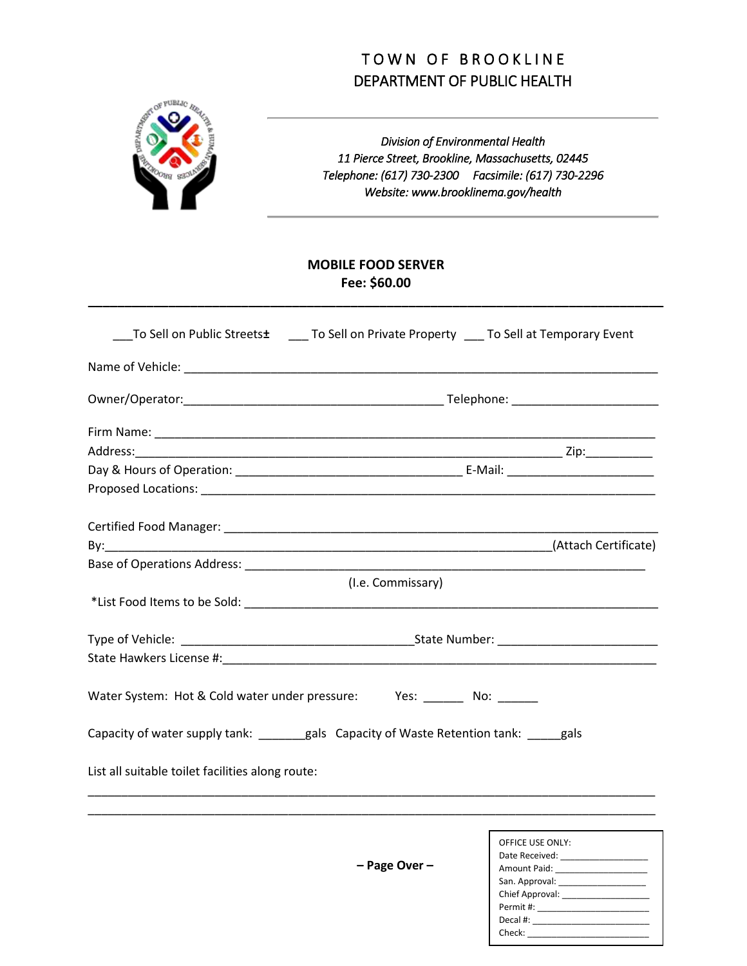## TOWN OF BROOKLINE DEPARTMENT OF PUBLIC HEALTH



*Division of Environmental Health 11 Pierce Street, Brookline, Massachusetts, 02445 Telephone: (617) 730-2300 Facsimile: (617) 730-2296 Website: www.brooklinema.gov/health*

## **MOBILE FOOD SERVER Fee: \$60.00**

**\_\_\_\_\_\_\_\_\_\_\_\_\_\_\_\_\_\_\_\_\_\_\_\_\_\_\_\_\_\_\_\_\_\_\_\_\_\_\_\_\_\_\_\_\_\_\_\_\_\_\_\_\_\_\_\_\_\_\_\_\_\_\_\_\_\_\_\_\_\_\_\_\_\_\_\_\_\_\_**

| Base of Operations Address: North and Secret and Secret and Secret and Secret and Secret and Secret and Secret |                  |
|----------------------------------------------------------------------------------------------------------------|------------------|
| (I.e. Commissary)                                                                                              |                  |
|                                                                                                                |                  |
|                                                                                                                |                  |
|                                                                                                                |                  |
| Water System: Hot & Cold water under pressure: Yes: ______ No: ______                                          |                  |
| Capacity of water supply tank: ______gals Capacity of Waste Retention tank: ____gals                           |                  |
| List all suitable toilet facilities along route:                                                               |                  |
|                                                                                                                |                  |
|                                                                                                                | OFFICE USE ONLY: |

**– Page Over –**

| UITILE UJE UNET.                    |  |
|-------------------------------------|--|
| Date Received: ____________________ |  |
| Amount Paid: ______________________ |  |
|                                     |  |
|                                     |  |
|                                     |  |
|                                     |  |
|                                     |  |
|                                     |  |